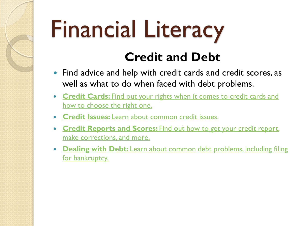# Financial Literacy

#### **Credit and Debt**

- Find advice and help with credit cards and credit scores, as well as what to do when faced with debt problems.
- **Credit Cards:** [Find out your rights when it comes to credit cards and](https://www.usa.gov/credit-cards) how to choose the right one.
- **Credit Issues:** [Learn about common credit issues.](https://www.usa.gov/credit)
- **Credit Reports and Scores:** [Find out how to get your credit report,](https://www.usa.gov/credit-reports)  make corrections, and more.
- **Dealing with Debt:** [Learn about common debt problems, including filing](https://www.usa.gov/debt) for bankruptcy.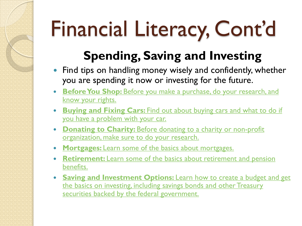#### **Spending, Saving and Investing**

- Find tips on handling money wisely and confidently, whether you are spending it now or investing for the future.
- **Before You Shop:** Before you make a purchase, do your research, and know your rights.
- **Buying and Fixing Cars:** [Find out about buying cars and what to do if](https://www.usa.gov/cars)  you have a problem with your car.
- **Donating to Charity: Before donating to a charity or non-profit** [organization, make sure to do your research.](https://www.usa.gov/donate-to-charity)
- **Mortgages:** [Learn some of the basics about mortgages.](https://www.usa.gov/mortgages)
- **Retirement:** [Learn some of the basics about retirement and pension](https://www.usa.gov/retirement)  benefits.
- **Saving and Investment Options:** Learn how to create a budget and get [the basics on investing, including savings bonds and other Treasury](https://www.usa.gov/saving-investing)  securities backed by the federal government.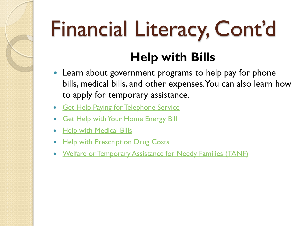#### **Help with Bills**

- Learn about government programs to help pay for phone bills, medical bills, and other expenses. You can also learn how to apply for temporary assistance.
- **[Get Help Paying for Telephone Service](https://www.usa.gov/help-with-bills#item-34762)**
- **[Get Help with Your Home Energy Bill](https://www.usa.gov/help-with-bills#item-35107)**
- [Help with Medical Bills](https://www.usa.gov/help-with-bills#item-36707)
- [Help with Prescription Drug Costs](https://www.usa.gov/help-with-bills#item-35167)
- [Welfare or Temporary Assistance for Needy Families \(TANF\)](https://www.usa.gov/help-with-bills#item-36602)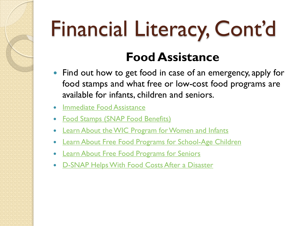#### **Food Assistance**

- Find out how to get food in case of an emergency, apply for food stamps and what free or low-cost food programs are available for infants, children and seniors.
- [Immediate Food Assistance](https://www.usa.gov/food-help#item-213705)
- [Food Stamps \(SNAP Food Benefits\)](https://www.usa.gov/food-help#item-35787)
- [Learn About the WIC Program for Women and Infants](https://www.usa.gov/food-help#item-213688)
- [Learn About Free Food Programs for School-Age Children](https://www.usa.gov/food-help#item-213690)
- [Learn About Free Food Programs for Seniors](https://www.usa.gov/food-help#item-213706)
- [D-SNAP Helps With Food Costs After a Disaster](https://www.usa.gov/food-help#item-214136)